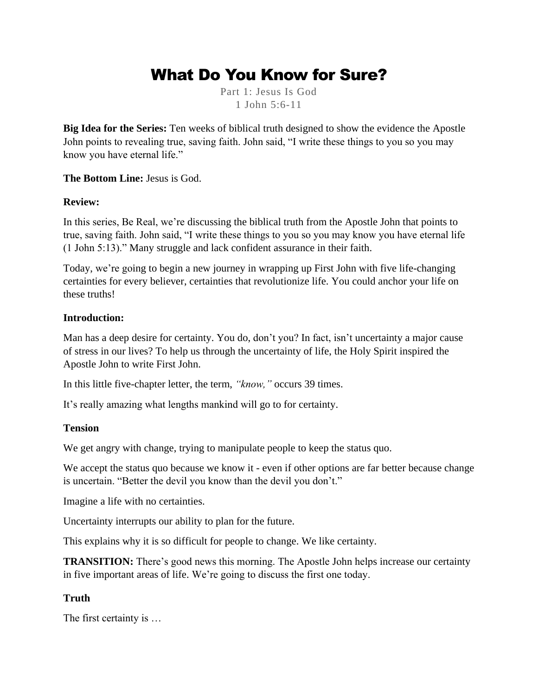# What Do You Know for Sure?

Part 1: Jesus Is God 1 John 5:6-11

**Big Idea for the Series:** Ten weeks of biblical truth designed to show the evidence the Apostle John points to revealing true, saving faith. John said, "I write these things to you so you may know you have eternal life."

#### **The Bottom Line:** Jesus is God.

#### **Review:**

In this series, Be Real, we're discussing the biblical truth from the Apostle John that points to true, saving faith. John said, "I write these things to you so you may know you have eternal life (1 John 5:13)." Many struggle and lack confident assurance in their faith.

Today, we're going to begin a new journey in wrapping up First John with five life-changing certainties for every believer, certainties that revolutionize life. You could anchor your life on these truths!

#### **Introduction:**

Man has a deep desire for certainty. You do, don't you? In fact, isn't uncertainty a major cause of stress in our lives? To help us through the uncertainty of life, the Holy Spirit inspired the Apostle John to write First John.

In this little five-chapter letter, the term, *"know,"* occurs 39 times.

It's really amazing what lengths mankind will go to for certainty.

#### **Tension**

We get angry with change, trying to manipulate people to keep the status quo.

We accept the status quo because we know it - even if other options are far better because change is uncertain. "Better the devil you know than the devil you don't."

Imagine a life with no certainties.

Uncertainty interrupts our ability to plan for the future.

This explains why it is so difficult for people to change. We like certainty.

**TRANSITION:** There's good news this morning. The Apostle John helps increase our certainty in five important areas of life. We're going to discuss the first one today.

## **Truth**

The first certainty is …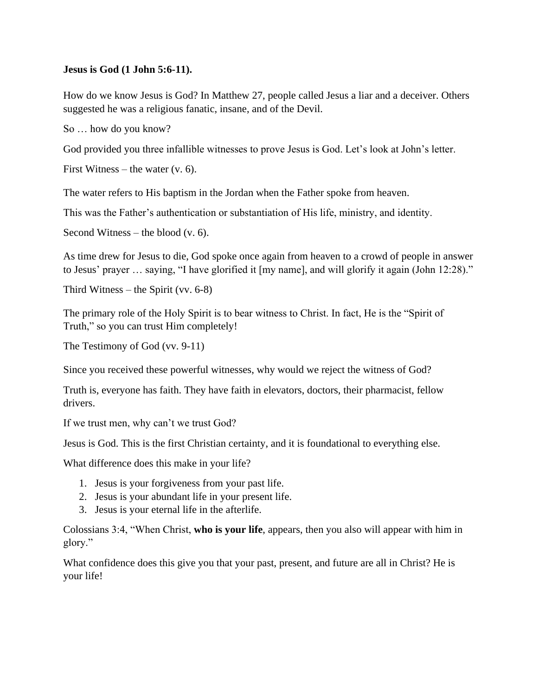#### **Jesus is God (1 John 5:6-11).**

How do we know Jesus is God? In Matthew 27, people called Jesus a liar and a deceiver. Others suggested he was a religious fanatic, insane, and of the Devil.

So … how do you know?

God provided you three infallible witnesses to prove Jesus is God. Let's look at John's letter.

First Witness – the water  $(v. 6)$ .

The water refers to His baptism in the Jordan when the Father spoke from heaven.

This was the Father's authentication or substantiation of His life, ministry, and identity.

Second Witness – the blood  $(v, 6)$ .

As time drew for Jesus to die, God spoke once again from heaven to a crowd of people in answer to Jesus' prayer … saying, "I have glorified it [my name], and will glorify it again (John 12:28)."

Third Witness – the Spirit (vv. 6-8)

The primary role of the Holy Spirit is to bear witness to Christ. In fact, He is the "Spirit of Truth," so you can trust Him completely!

The Testimony of God (vv. 9-11)

Since you received these powerful witnesses, why would we reject the witness of God?

Truth is, everyone has faith. They have faith in elevators, doctors, their pharmacist, fellow drivers.

If we trust men, why can't we trust God?

Jesus is God. This is the first Christian certainty, and it is foundational to everything else.

What difference does this make in your life?

- 1. Jesus is your forgiveness from your past life.
- 2. Jesus is your abundant life in your present life.
- 3. Jesus is your eternal life in the afterlife.

Colossians 3:4, "When Christ, **who is your life**, appears, then you also will appear with him in glory."

What confidence does this give you that your past, present, and future are all in Christ? He is your life!